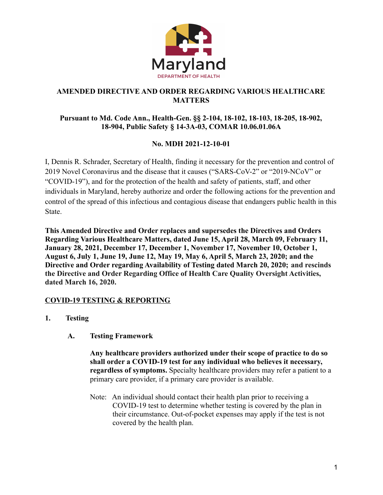

## **AMENDED DIRECTIVE AND ORDER REGARDING VARIOUS HEALTHCARE MATTERS**

## **Pursuant to Md. Code Ann., Health-Gen. §§ 2-104, 18-102, 18-103, 18-205, 18-902, 18-904, Public Safety § 14-3A-03, COMAR 10.06.01.06A**

# **No. MDH 2021-12-10-01**

I, Dennis R. Schrader, Secretary of Health, finding it necessary for the prevention and control of 2019 Novel Coronavirus and the disease that it causes ("SARS-CoV-2" or "2019-NCoV" or "COVID-19"), and for the protection of the health and safety of patients, staff, and other individuals in Maryland, hereby authorize and order the following actions for the prevention and control of the spread of this infectious and contagious disease that endangers public health in this **State** 

**This Amended Directive and Order replaces and supersedes the Directives and Orders Regarding Various Healthcare Matters, dated June 15, April 28, March 09, February 11, January 28, 2021, December 17, December 1, November 17, November 10, October 1, August 6, July 1, June 19, June 12, May 19, May 6, April 5, March 23, 2020; and the Directive and Order regarding Availability of Testing dated March 20, 2020; and rescinds the Directive and Order Regarding Office of Health Care Quality Oversight Activities, dated March 16, 2020.**

# **COVID-19 TESTING & REPORTING**

- **1. Testing**
	- **A. Testing Framework**

**Any healthcare providers authorized under their scope of practice to do so shall order a COVID-19 test for any individual who believes it necessary, regardless of symptoms.** Specialty healthcare providers may refer a patient to a primary care provider, if a primary care provider is available.

Note: An individual should contact their health plan prior to receiving a COVID-19 test to determine whether testing is covered by the plan in their circumstance. Out-of-pocket expenses may apply if the test is not covered by the health plan.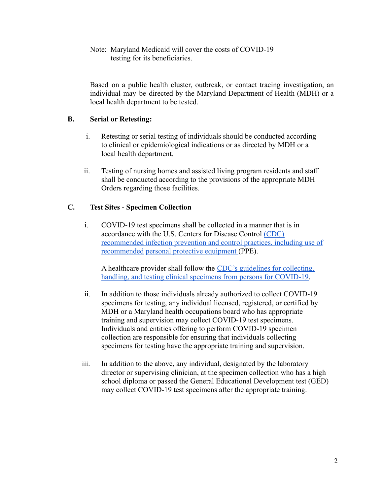Note: Maryland Medicaid will cover the costs of COVID-19 testing for its beneficiaries.

Based on a public health cluster, outbreak, or contact tracing investigation, an individual may be directed by the Maryland Department of Health (MDH) or a local health department to be tested.

## **B. Serial or Retesting:**

- i. Retesting or serial testing of individuals should be conducted according to clinical or epidemiological indications or as directed by MDH or a local health department.
- ii. Testing of nursing homes and assisted living program residents and staff shall be conducted according to the provisions of the appropriate MDH Orders regarding those facilities.

## **C. Test Sites - Specimen Collection**

i. COVID-19 test specimens shall be collected in a manner that is in accordance with the U.S. Centers for Disease Control [\(CDC\)](https://www.cdc.gov/coronavirus/2019-ncov/infection-control/control-recommendations.html) [recommended](https://www.cdc.gov/coronavirus/2019-ncov/infection-control/control-recommendations.html) [infection prevention and control practices,](https://www.cdc.gov/coronavirus/2019-ncov/infection-control/control-recommendations.html) including use of recommended [personal protective equipment](https://www.cdc.gov/coronavirus/2019-ncov/infection-control/control-recommendations.html) (PPE).

A healthcare provider shall follow the [CDC's guidelines](https://www.cdc.gov/coronavirus/2019-nCoV/lab/guidelines-clinical-specimens.html) for collecting, [handling, and testing clinical specimens from persons for COVID-19.](https://www.cdc.gov/coronavirus/2019-nCoV/lab/guidelines-clinical-specimens.html)

- ii. In addition to those individuals already authorized to collect COVID-19 specimens for testing, any individual licensed, registered, or certified by MDH or a Maryland health occupations board who has appropriate training and supervision may collect COVID-19 test specimens. Individuals and entities offering to perform COVID-19 specimen collection are responsible for ensuring that individuals collecting specimens for testing have the appropriate training and supervision.
- iii. In addition to the above, any individual, designated by the laboratory director or supervising clinician, at the specimen collection who has a high school diploma or passed the General Educational Development test (GED) may collect COVID-19 test specimens after the appropriate training.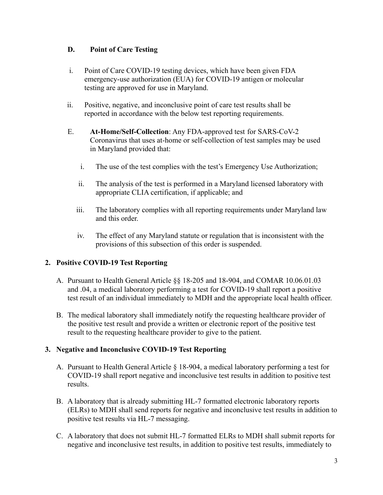## **D. Point of Care Testing**

- i. Point of Care COVID-19 testing devices, which have been given FDA emergency-use authorization (EUA) for COVID-19 antigen or molecular testing are approved for use in Maryland.
- ii. Positive, negative, and inconclusive point of care test results shall be reported in accordance with the below test reporting requirements.
- E. **At-Home/Self-Collection**: Any FDA-approved test for SARS-CoV-2 Coronavirus that uses at-home or self-collection of test samples may be used in Maryland provided that:
	- i. The use of the test complies with the test's Emergency Use Authorization;
	- ii. The analysis of the test is performed in a Maryland licensed laboratory with appropriate CLIA certification, if applicable; and
	- iii. The laboratory complies with all reporting requirements under Maryland law and this order.
	- iv. The effect of any Maryland statute or regulation that is inconsistent with the provisions of this subsection of this order is suspended.

# **2. Positive COVID-19 Test Reporting**

- A. Pursuant to Health General Article §§ 18-205 and 18-904, and COMAR 10.06.01.03 and .04, a medical laboratory performing a test for COVID-19 shall report a positive test result of an individual immediately to MDH and the appropriate local health officer.
- B. The medical laboratory shall immediately notify the requesting healthcare provider of the positive test result and provide a written or electronic report of the positive test result to the requesting healthcare provider to give to the patient.

### **3. Negative and Inconclusive COVID-19 Test Reporting**

- A. Pursuant to Health General Article § 18-904, a medical laboratory performing a test for COVID-19 shall report negative and inconclusive test results in addition to positive test results.
- B. A laboratory that is already submitting HL-7 formatted electronic laboratory reports (ELRs) to MDH shall send reports for negative and inconclusive test results in addition to positive test results via HL-7 messaging.
- C. A laboratory that does not submit HL-7 formatted ELRs to MDH shall submit reports for negative and inconclusive test results, in addition to positive test results, immediately to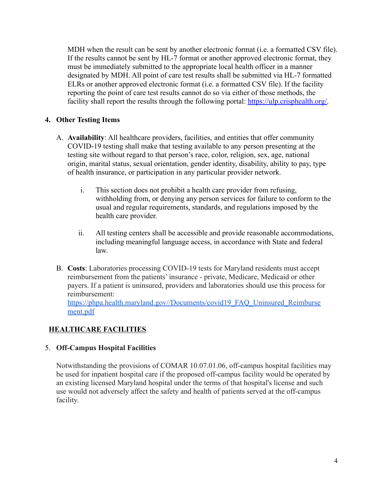MDH when the result can be sent by another electronic format (i.e. a formatted CSV file). If the results cannot be sent by HL-7 format or another approved electronic format, they must be immediately submitted to the appropriate local health officer in a manner designated by MDH. All point of care test results shall be submitted via HL-7 formatted ELRs or another approved electronic format (i.e. a formatted CSV file). If the facility reporting the point of care test results cannot do so via either of those methods, the facility shall report the results through the following portal: [https://ulp.crisphealth.org/.](https://ulp.crisphealth.org/)

# **4. Other Testing Items**

- A. **Availability**: All healthcare providers, facilities, and entities that offer community COVID-19 testing shall make that testing available to any person presenting at the testing site without regard to that person's race, color, religion, sex, age, national origin, marital status, sexual orientation, gender identity, disability, ability to pay, type of health insurance, or participation in any particular provider network.
	- i. This section does not prohibit a health care provider from refusing, withholding from, or denying any person services for failure to conform to the usual and regular requirements, standards, and regulations imposed by the health care provider.
	- ii. All testing centers shall be accessible and provide reasonable accommodations, including meaningful language access, in accordance with State and federal law.
- B. **Costs**: Laboratories processing COVID-19 tests for Maryland residents must accept reimbursement from the patients' insurance - private, Medicare, Medicaid or other payers. If a patient is uninsured, providers and laboratories should use this process for reimbursement[:](https://phpa.health.maryland.gov/Documents/covid19_FAQ_Uninsured_Reimbursement.pdf)

[https://phpa.health.maryland.gov//Documents/covid19\\_FAQ\\_Uninsured\\_Reimburse](https://phpa.health.maryland.gov/Documents/covid19_FAQ_Uninsured_Reimbursement.pdf) [ment.pdf](https://phpa.health.maryland.gov/Documents/covid19_FAQ_Uninsured_Reimbursement.pdf)

# **HEALTHCARE FACILITIES**

### 5. **Off-Campus Hospital Facilities**

Notwithstanding the provisions of COMAR 10.07.01.06, off-campus hospital facilities may be used for inpatient hospital care if the proposed off-campus facility would be operated by an existing licensed Maryland hospital under the terms of that hospital's license and such use would not adversely affect the safety and health of patients served at the off-campus facility.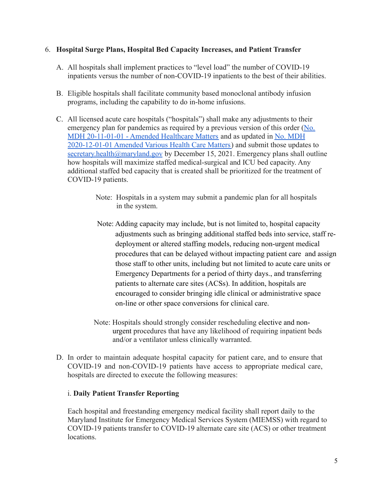#### 6. **Hospital Surge Plans, Hospital Bed Capacity Increases, and Patient Transfer**

- A. All hospitals shall implement practices to "level load" the number of COVID-19 inpatients versus the number of non-COVID-19 inpatients to the best of their abilities.
- B. Eligible hospitals shall facilitate community based monoclonal antibody infusion programs, including the capability to do in-home infusions.
- C. All licensed acute care hospitals ("hospitals") shall make any adjustments to their emergency plan for pandemics as required by a previous version of this order ([No.](https://health.maryland.gov/phpa/Documents/2020.11.10.01_MDH_Order_Amended_Various_Health_Care_Matters_Order_Hospital_Surge.pdf) [MDH 20-11-01-01 - Amended Healthcare Matters](https://health.maryland.gov/phpa/Documents/2020.11.10.01_MDH_Order_Amended_Various_Health_Care_Matters_Order_Hospital_Surge.pdf) and as updated in [No. MDH](https://health.maryland.gov/phpa/Documents/2020.12.01.01_MDH_Order_Amended_Various_Health_Care_Matters_Order_Patient_Surge_ManagementIII.pdf) [2020-12-01-01 Amended Various Health Care Matters\)](https://health.maryland.gov/phpa/Documents/2020.12.01.01_MDH_Order_Amended_Various_Health_Care_Matters_Order_Patient_Surge_ManagementIII.pdf) and submit those updates to [secretary.health@maryland.gov](mailto:secretary.health@maryland.gov) by December 15, 2021. Emergency plans shall outline how hospitals will maximize staffed medical-surgical and ICU bed capacity. Any additional staffed bed capacity that is created shall be prioritized for the treatment of COVID-19 patients.
	- Note: Hospitals in a system may submit a pandemic plan for all hospitals in the system.
	- Note: Adding capacity may include, but is not limited to, hospital capacity adjustments such as bringing additional staffed beds into service, staff redeployment or altered staffing models, reducing non-urgent medical procedures that can be delayed without impacting patient care and assign those staff to other units, including but not limited to acute care units or Emergency Departments for a period of thirty days., and transferring patients to alternate care sites (ACSs). In addition, hospitals are encouraged to consider bringing idle clinical or administrative space on-line or other space conversions for clinical care.
	- Note: Hospitals should strongly consider rescheduling elective and nonurgent procedures that have any likelihood of requiring inpatient beds and/or a ventilator unless clinically warranted.
- D. In order to maintain adequate hospital capacity for patient care, and to ensure that COVID-19 and non-COVID-19 patients have access to appropriate medical care, hospitals are directed to execute the following measures:

### i. **Daily Patient Transfer Reporting**

Each hospital and freestanding emergency medical facility shall report daily to the Maryland Institute for Emergency Medical Services System (MIEMSS) with regard to COVID-19 patients transfer to COVID-19 alternate care site (ACS) or other treatment locations.